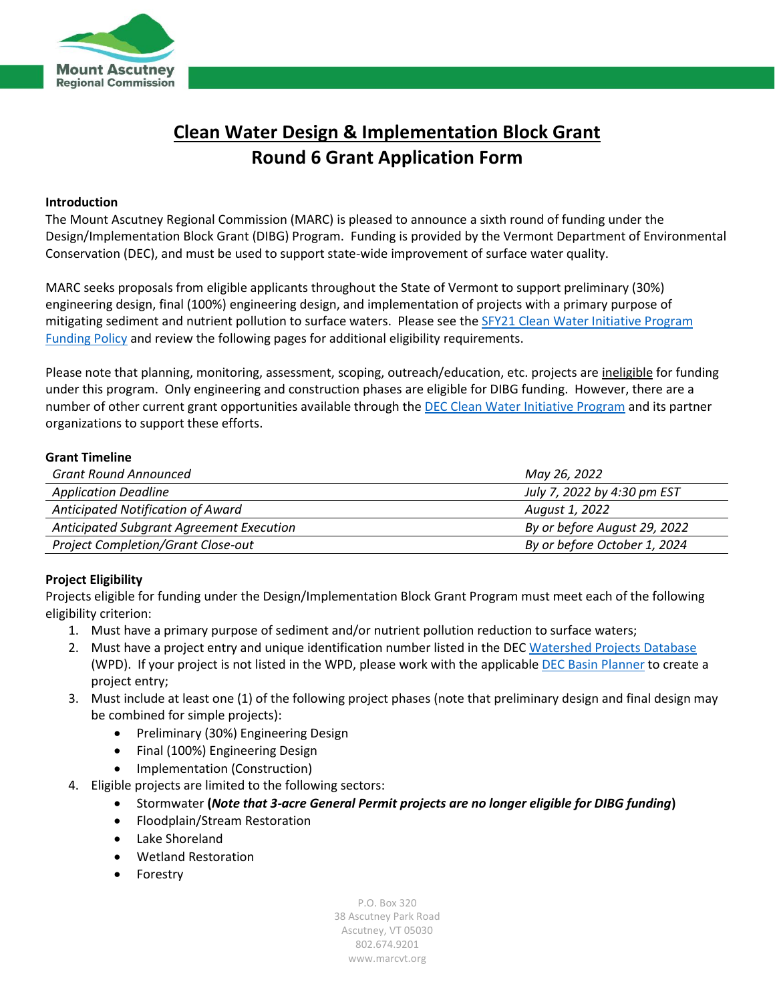

## **Clean Water Design & Implementation Block Grant Round 6 Grant Application Form**

#### **Introduction**

The Mount Ascutney Regional Commission (MARC) is pleased to announce a sixth round of funding under the Design/Implementation Block Grant (DIBG) Program. Funding is provided by the Vermont Department of Environmental Conservation (DEC), and must be used to support state-wide improvement of surface water quality.

MARC seeks proposals from eligible applicants throughout the State of Vermont to support preliminary (30%) engineering design, final (100%) engineering design, and implementation of projects with a primary purpose of mitigating sediment and nutrient pollution to surface waters. Please see th[e SFY21 Clean Water Initiative Program](https://dec.vermont.gov/sites/dec/files/wsm/erp/docs/2021-02-04_FINAL_FY21_CWIPFundingPolicy_signed.pdf)  [Funding Policy](https://dec.vermont.gov/sites/dec/files/wsm/erp/docs/2021-02-04_FINAL_FY21_CWIPFundingPolicy_signed.pdf) and review the following pages for additional eligibility requirements.

Please note that planning, monitoring, assessment, scoping, outreach/education, etc. projects are ineligible for funding under this program. Only engineering and construction phases are eligible for DIBG funding. However, there are a number of other current grant opportunities available through th[e DEC Clean Water Initiative Program](https://dec.vermont.gov/water-investment/cwi/grants) and its partner organizations to support these efforts.

#### **Grant Timeline**

| <b>Grant Round Announced</b>              | May 26, 2022                 |
|-------------------------------------------|------------------------------|
| <b>Application Deadline</b>               | July 7, 2022 by 4:30 pm EST  |
| Anticipated Notification of Award         | August 1, 2022               |
| Anticipated Subgrant Agreement Execution  | By or before August 29, 2022 |
| <b>Project Completion/Grant Close-out</b> | By or before October 1, 2024 |

#### **Project Eligibility**

Projects eligible for funding under the Design/Implementation Block Grant Program must meet each of the following eligibility criterion:

- 1. Must have a primary purpose of sediment and/or nutrient pollution reduction to surface waters;
- 2. Must have a project entry and unique identification number listed in the DEC [Watershed Projects Database](https://anrweb.vt.gov/DEC/cleanWaterDashboard/WPDSearch.aspx) (WPD). If your project is not listed in the WPD, please work with the applicable [DEC Basin Planner](https://dec.vermont.gov/sites/dec/files/WID/WPP/BasinPlannerMap_Rotation11.pdf) to create a project entry;
- 3. Must include at least one (1) of the following project phases (note that preliminary design and final design may be combined for simple projects):
	- Preliminary (30%) Engineering Design
	- Final (100%) Engineering Design
	- Implementation (Construction)
- 4. Eligible projects are limited to the following sectors:
	- Stormwater **(***Note that 3-acre General Permit projects are no longer eligible for DIBG funding***)**
	- Floodplain/Stream Restoration
	- Lake Shoreland
	- Wetland Restoration
	- Forestry

P.O. Box 320 38 Ascutney Park Road Ascutney, VT 05030 802.674.9201 www.marcvt.org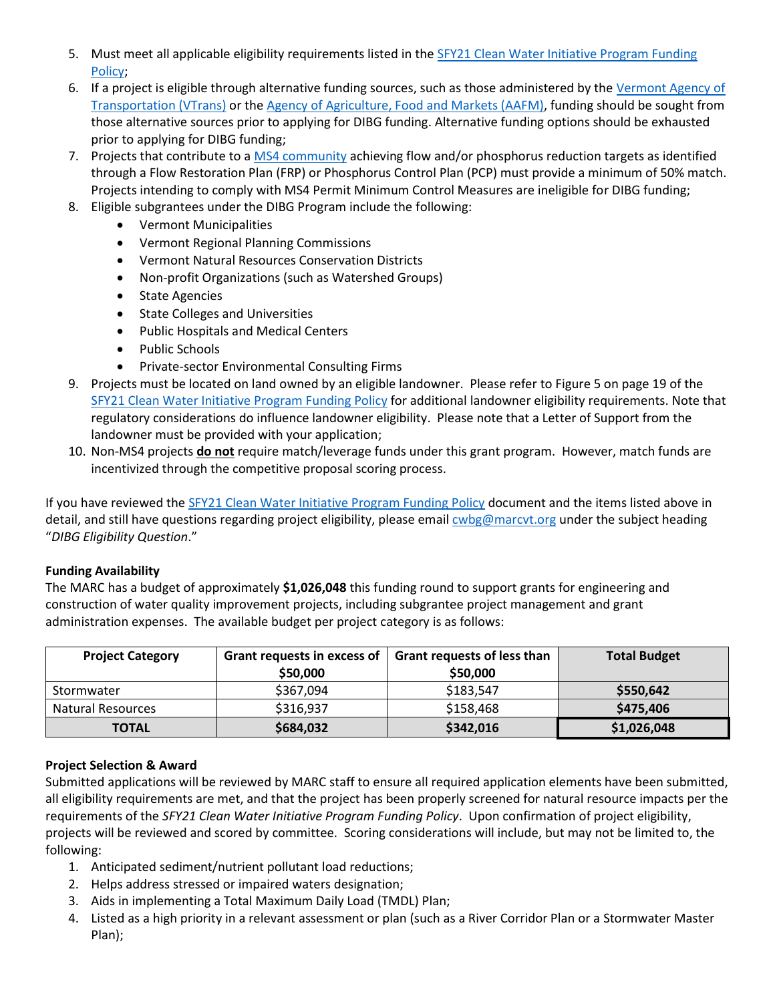- 5. Must meet all applicable eligibility requirements listed in th[e SFY21 Clean Water Initiative Program Funding](https://dec.vermont.gov/sites/dec/files/wsm/erp/docs/2021-02-04_FINAL_FY21_CWIPFundingPolicy_signed.pdf)  [Policy;](https://dec.vermont.gov/sites/dec/files/wsm/erp/docs/2021-02-04_FINAL_FY21_CWIPFundingPolicy_signed.pdf)
- 6. If a project is eligible through alternative funding sources, such as those administered by the [Vermont Agency of](https://vtrans.vermont.gov/highway)  [Transportation](https://vtrans.vermont.gov/highway) (VTrans) or th[e Agency of Agriculture, Food and Markets \(AAFM\),](https://agriculture.vermont.gov/) funding should be sought from those alternative sources prior to applying for DIBG funding. Alternative funding options should be exhausted prior to applying for DIBG funding;
- 7. Projects that contribute to [a MS4 community](https://dec.vermont.gov/watershed/stormwater/permit-information-applications-fees/ms4-permit) achieving flow and/or phosphorus reduction targets as identified through a Flow Restoration Plan (FRP) or Phosphorus Control Plan (PCP) must provide a minimum of 50% match. Projects intending to comply with MS4 Permit Minimum Control Measures are ineligible for DIBG funding;
- 8. Eligible subgrantees under the DIBG Program include the following:
	- Vermont Municipalities
	- Vermont Regional Planning Commissions
	- Vermont Natural Resources Conservation Districts
	- Non-profit Organizations (such as Watershed Groups)
	- State Agencies
	- State Colleges and Universities
	- Public Hospitals and Medical Centers
	- Public Schools
	- Private-sector Environmental Consulting Firms
- 9. Projects must be located on land owned by an eligible landowner. Please refer to Figure 5 on page 19 of the [SFY21 Clean Water Initiative Program Funding Policy](https://dec.vermont.gov/sites/dec/files/wsm/erp/docs/2021-02-04_FINAL_FY21_CWIPFundingPolicy_signed.pdf) for additional landowner eligibility requirements. Note that regulatory considerations do influence landowner eligibility. Please note that a Letter of Support from the landowner must be provided with your application;
- 10. Non-MS4 projects **do not** require match/leverage funds under this grant program. However, match funds are incentivized through the competitive proposal scoring process.

If you have reviewed the [SFY21 Clean Water Initiative Program Funding Policy](https://dec.vermont.gov/sites/dec/files/wsm/erp/docs/2021-02-04_FINAL_FY21_CWIPFundingPolicy_signed.pdf) document and the items listed above in detail, and still have questions regarding project eligibility, please emai[l cwbg@marcvt.org](mailto:cwbg@marcvt.org) under the subject heading "*DIBG Eligibility Question*."

#### **Funding Availability**

The MARC has a budget of approximately **\$1,026,048** this funding round to support grants for engineering and construction of water quality improvement projects, including subgrantee project management and grant administration expenses. The available budget per project category is as follows:

| <b>Project Category</b>  | Grant requests in excess of<br>\$50,000 | <b>Grant requests of less than</b><br>\$50,000 | <b>Total Budget</b> |
|--------------------------|-----------------------------------------|------------------------------------------------|---------------------|
| Stormwater               | \$367,094                               | \$183,547                                      | \$550,642           |
| <b>Natural Resources</b> | \$316,937                               | \$158,468                                      | \$475,406           |
| <b>TOTAL</b>             | \$684,032                               | \$342,016                                      | \$1,026,048         |

#### **Project Selection & Award**

Submitted applications will be reviewed by MARC staff to ensure all required application elements have been submitted, all eligibility requirements are met, and that the project has been properly screened for natural resource impacts per the requirements of the *SFY21 Clean Water Initiative Program Funding Policy*. Upon confirmation of project eligibility, projects will be reviewed and scored by committee. Scoring considerations will include, but may not be limited to, the following:

- 1. Anticipated sediment/nutrient pollutant load reductions;
- 2. Helps address stressed or impaired waters designation;
- 3. Aids in implementing a Total Maximum Daily Load (TMDL) Plan;
- 4. Listed as a high priority in a relevant assessment or plan (such as a River Corridor Plan or a Stormwater Master Plan);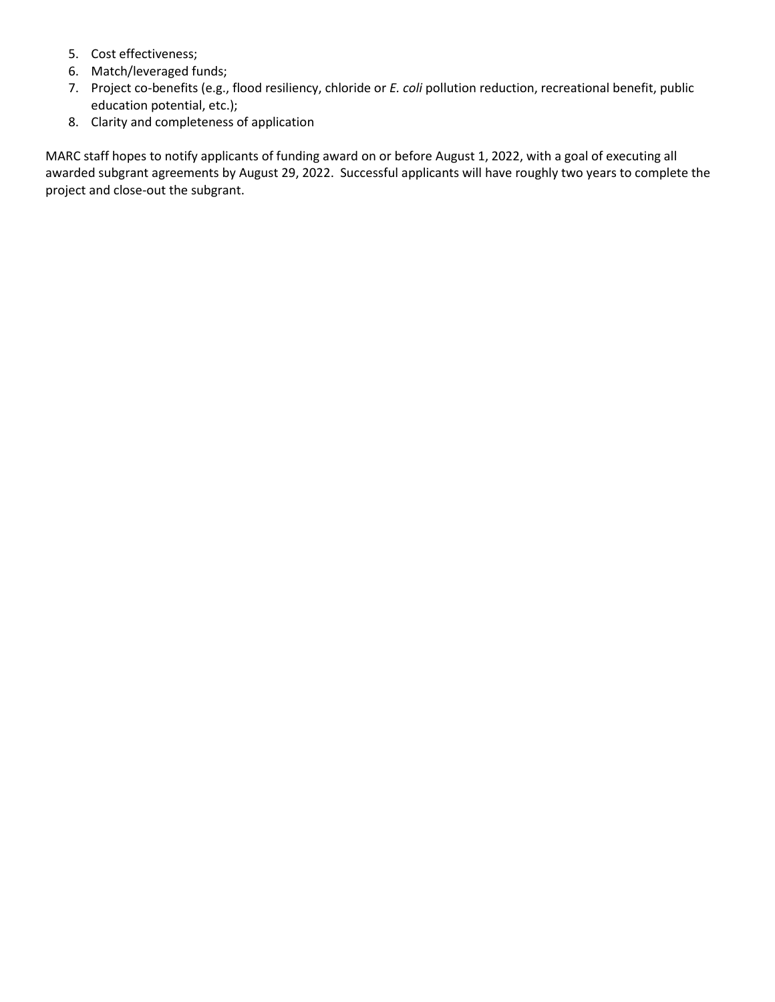- 5. Cost effectiveness;
- 6. Match/leveraged funds;
- 7. Project co-benefits (e.g., flood resiliency, chloride or *E. coli* pollution reduction, recreational benefit, public education potential, etc.);
- 8. Clarity and completeness of application

MARC staff hopes to notify applicants of funding award on or before August 1, 2022, with a goal of executing all awarded subgrant agreements by August 29, 2022. Successful applicants will have roughly two years to complete the project and close-out the subgrant.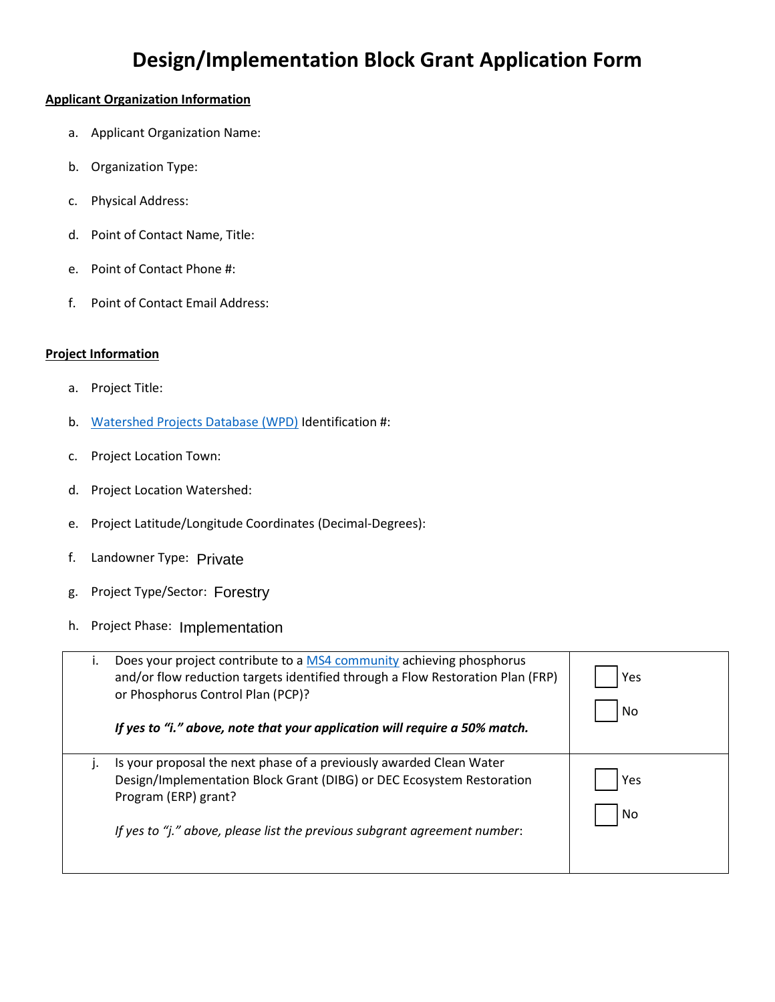# **Design/Implementation Block Grant Application Form**

#### **Applicant Organization Information**

- a. Applicant Organization Name:
- b. Organization Type:
- c. Physical Address:
- d. Point of Contact Name, Title:
- e. Point of Contact Phone #:
- f. Point of Contact Email Address:

#### **Project Information**

- a. Project Title:
- b. [Watershed Projects Database \(WPD\)](https://anrweb.vt.gov/DEC/cleanWaterDashboard/WPDSearch.aspx) Identification #:
- c. Project Location Town:
- d. Project Location Watershed:
- e. Project Latitude/Longitude Coordinates (Decimal-Degrees):
- f. Landowner Type: Private
- g. Project Type/Sector: Forestry
- h. Project Phase: Implementation

| Does your project contribute to a MS4 community achieving phosphorus<br>and/or flow reduction targets identified through a Flow Restoration Plan (FRP)<br>or Phosphorus Control Plan (PCP)?<br>If yes to "i." above, note that your application will require a 50% match. | Yes<br>No |
|---------------------------------------------------------------------------------------------------------------------------------------------------------------------------------------------------------------------------------------------------------------------------|-----------|
| Is your proposal the next phase of a previously awarded Clean Water<br>Design/Implementation Block Grant (DIBG) or DEC Ecosystem Restoration<br>Program (ERP) grant?<br>If yes to "j." above, please list the previous subgrant agreement number:                         | Yes<br>No |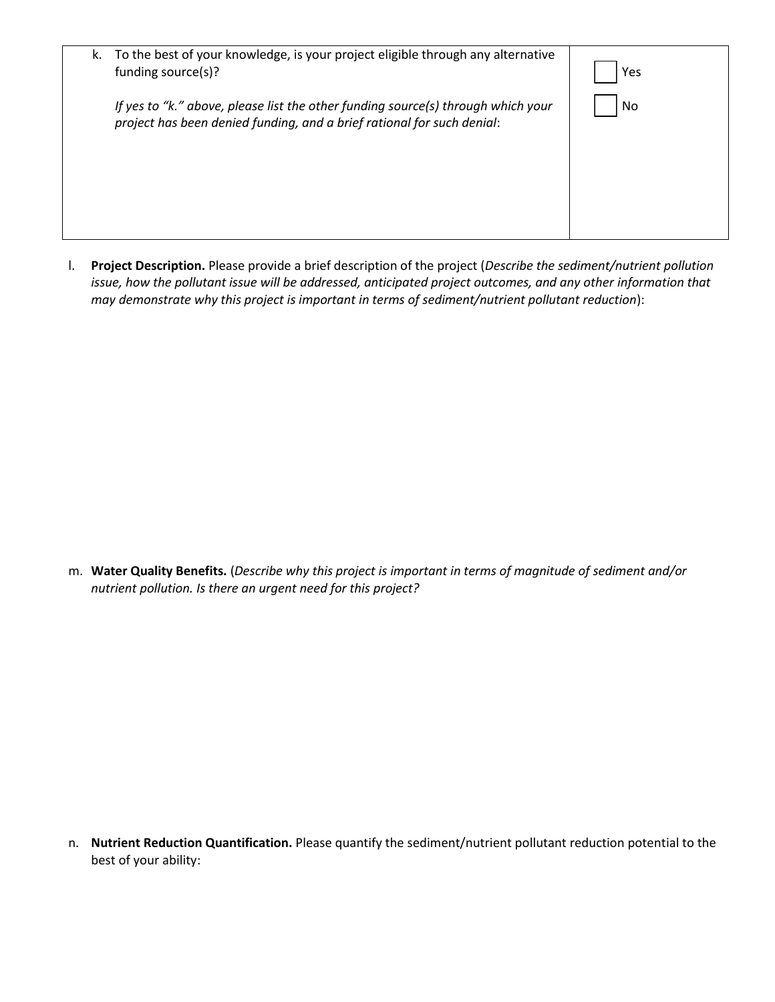| k. To the best of your knowledge, is your project eligible through any alternative<br>funding source(s)?                                                   | Yes |
|------------------------------------------------------------------------------------------------------------------------------------------------------------|-----|
| If yes to "k." above, please list the other funding source(s) through which your<br>project has been denied funding, and a brief rational for such denial: | No  |
|                                                                                                                                                            |     |

l. **Project Description.** Please provide a brief description of the project (*Describe the sediment/nutrient pollution issue, how the pollutant issue will be addressed, anticipated project outcomes, and any other information that may demonstrate why this project is important in terms of sediment/nutrient pollutant reduction*):

m. **Water Quality Benefits.** (*Describe why this project is important in terms of magnitude of sediment and/or nutrient pollution. Is there an urgent need for this project?* 

n. **Nutrient Reduction Quantification.** Please quantify the sediment/nutrient pollutant reduction potential to the best of your ability: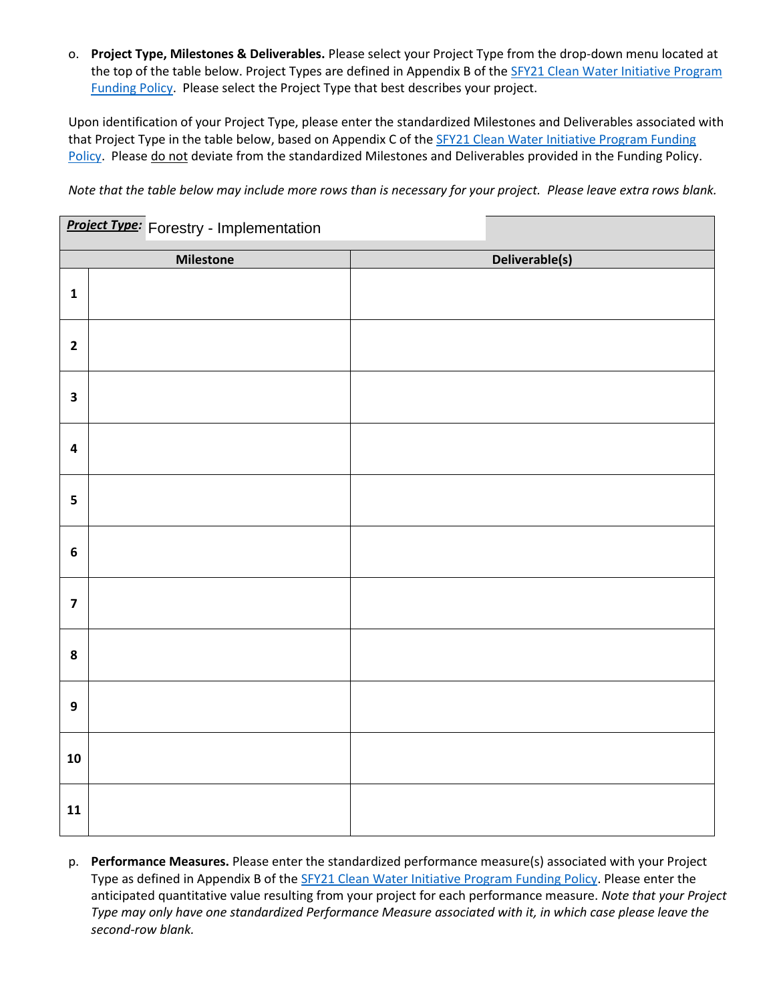o. **Project Type, Milestones & Deliverables.** Please select your Project Type from the drop-down menu located at the top of the table below. Project Types are defined in Appendix B of the SFY21 Clean Water Initiative Program [Funding Policy.](https://dec.vermont.gov/sites/dec/files/wsm/erp/docs/2021-02-04_FINAL_FY21_CWIPFundingPolicy_signed.pdf) Please select the Project Type that best describes your project.

Upon identification of your Project Type, please enter the standardized Milestones and Deliverables associated with that Project Type in the table below, based on Appendix C of th[e SFY21 Clean Water Initiative Program Funding](https://dec.vermont.gov/sites/dec/files/wsm/erp/docs/2021-02-04_FINAL_FY21_CWIPFundingPolicy_signed.pdf)  [Policy.](https://dec.vermont.gov/sites/dec/files/wsm/erp/docs/2021-02-04_FINAL_FY21_CWIPFundingPolicy_signed.pdf) Please do not deviate from the standardized Milestones and Deliverables provided in the Funding Policy.

*Note that the table below may include more rows than is necessary for your project. Please leave extra rows blank.* 

|                         | <b>Project Type:</b> Forestry - Implementation |                |
|-------------------------|------------------------------------------------|----------------|
|                         | <b>Milestone</b>                               | Deliverable(s) |
| $\mathbf 1$             |                                                |                |
| $\mathbf{2}$            |                                                |                |
| $\overline{\mathbf{3}}$ |                                                |                |
| $\overline{\mathbf{4}}$ |                                                |                |
| 5                       |                                                |                |
| $\boldsymbol{6}$        |                                                |                |
| $\overline{\mathbf{z}}$ |                                                |                |
| ${\bf 8}$               |                                                |                |
| $\boldsymbol{9}$        |                                                |                |
| ${\bf 10}$              |                                                |                |
| $\mathbf{11}$           |                                                |                |

p. **Performance Measures.** Please enter the standardized performance measure(s) associated with your Project Type as defined in Appendix B of the [SFY21 Clean Water Initiative Program Funding Policy.](https://dec.vermont.gov/sites/dec/files/wsm/erp/docs/2021-02-04_FINAL_FY21_CWIPFundingPolicy_signed.pdf) Please enter the anticipated quantitative value resulting from your project for each performance measure. *Note that your Project Type may only have one standardized Performance Measure associated with it, in which case please leave the second-row blank.*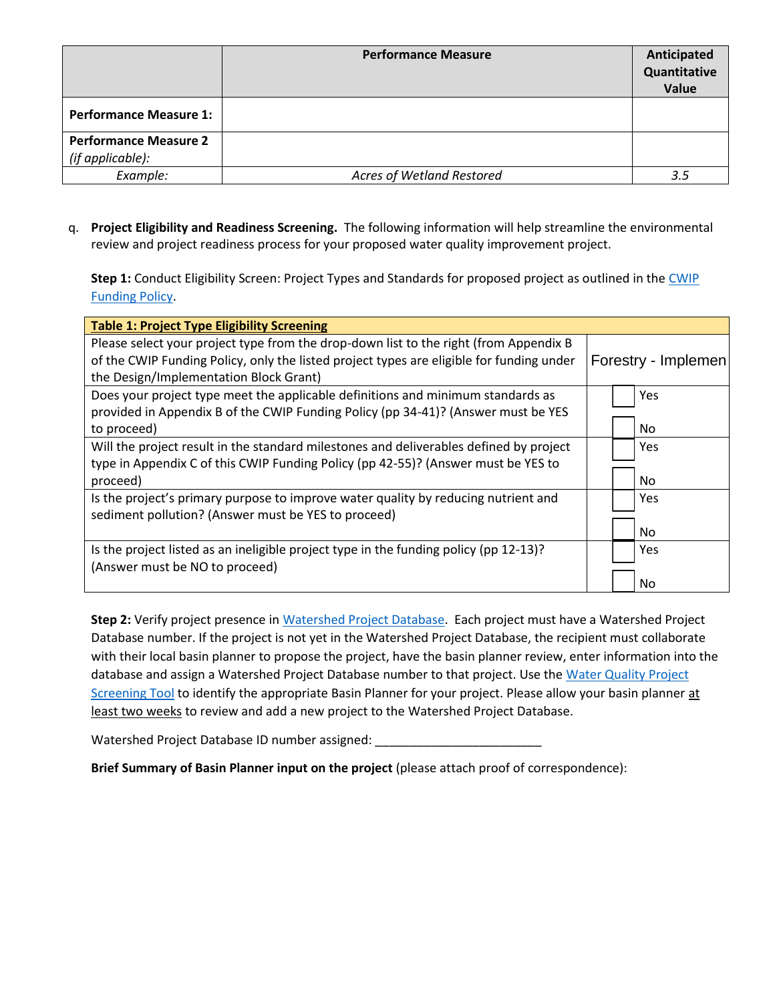|                                                  | <b>Performance Measure</b> | Anticipated<br>Quantitative<br>Value |
|--------------------------------------------------|----------------------------|--------------------------------------|
| <b>Performance Measure 1:</b>                    |                            |                                      |
| <b>Performance Measure 2</b><br>(if applicable): |                            |                                      |
| Example:                                         | Acres of Wetland Restored  | 3.5                                  |

q. **Project Eligibility and Readiness Screening.** The following information will help streamline the environmental review and project readiness process for your proposed water quality improvement project.

**Step 1:** Conduct Eligibility Screen: Project Types and Standards for proposed project as outlined in the [CWIP](https://dec.vermont.gov/sites/dec/files/wsm/erp/docs/2021-02-04_FINAL_FY21_CWIPFundingPolicy_signed.pdf)  [Funding Policy.](https://dec.vermont.gov/sites/dec/files/wsm/erp/docs/2021-02-04_FINAL_FY21_CWIPFundingPolicy_signed.pdf)

| <b>Table 1: Project Type Eligibility Screening</b>                                       |                     |
|------------------------------------------------------------------------------------------|---------------------|
| Please select your project type from the drop-down list to the right (from Appendix B    |                     |
| of the CWIP Funding Policy, only the listed project types are eligible for funding under | Forestry - Implemen |
| the Design/Implementation Block Grant)                                                   |                     |
| Does your project type meet the applicable definitions and minimum standards as          | Yes                 |
| provided in Appendix B of the CWIP Funding Policy (pp 34-41)? (Answer must be YES        |                     |
| to proceed)                                                                              | No                  |
| Will the project result in the standard milestones and deliverables defined by project   | Yes                 |
| type in Appendix C of this CWIP Funding Policy (pp 42-55)? (Answer must be YES to        |                     |
| proceed)                                                                                 | No.                 |
| Is the project's primary purpose to improve water quality by reducing nutrient and       | Yes                 |
| sediment pollution? (Answer must be YES to proceed)                                      |                     |
|                                                                                          | No.                 |
| Is the project listed as an ineligible project type in the funding policy (pp 12-13)?    | Yes                 |
| (Answer must be NO to proceed)                                                           |                     |
|                                                                                          | No                  |

**Step 2:** Verify project presence in [Watershed Project Database.](https://anrweb.vt.gov/DEC/cleanWaterDashboard) Each project must have a Watershed Project Database number. If the project is not yet in the Watershed Project Database, the recipient must collaborate with their local basin planner to propose the project, have the basin planner review, enter information into the database and assign a Watershed Project Database number to that project. Use the Water Quality Project [Screening Tool](https://anrweb.vt.gov/DEC/CleanWaterDashboard/ScreeningTool.aspx) to identify the appropriate Basin Planner for your project. Please allow your basin planner at least two weeks to review and add a new project to the Watershed Project Database.

Watershed Project Database ID number assigned:

**Brief Summary of Basin Planner input on the project** (please attach proof of correspondence):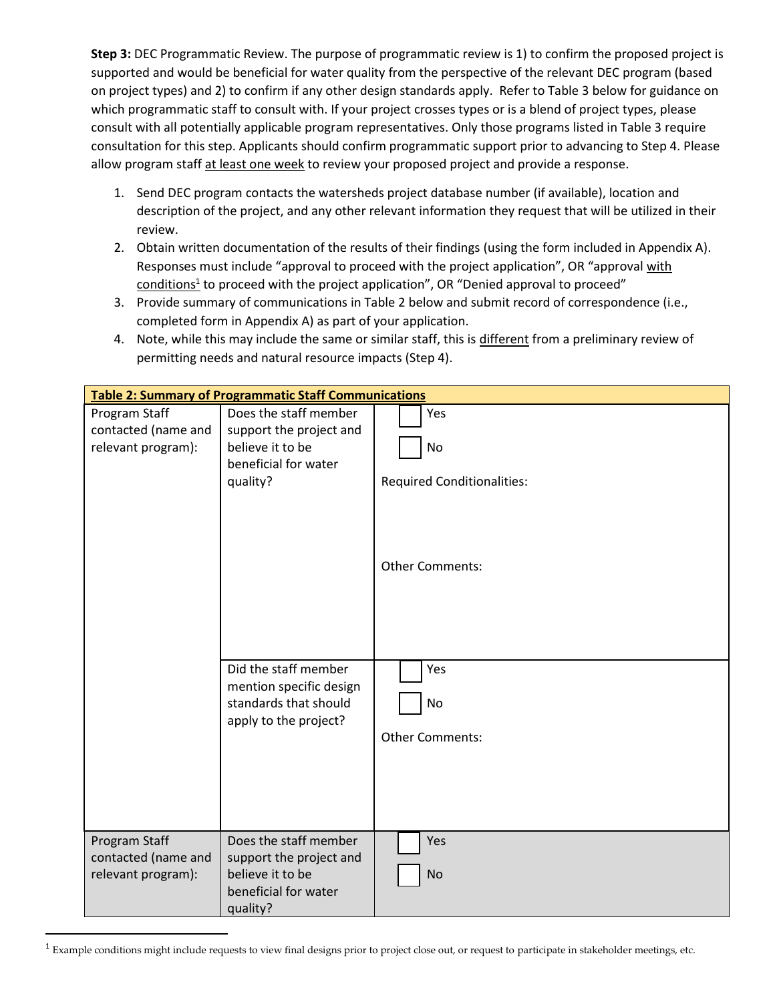**Step 3:** DEC Programmatic Review. The purpose of programmatic review is 1) to confirm the proposed project is supported and would be beneficial for water quality from the perspective of the relevant DEC program (based on project types) and 2) to confirm if any other design standards apply. Refer to Table 3 below for guidance on which programmatic staff to consult with. If your project crosses types or is a blend of project types, please consult with all potentially applicable program representatives. Only those programs listed in Table 3 require consultation for this step. Applicants should confirm programmatic support prior to advancing to Step 4. Please allow program staff at least one week to review your proposed project and provide a response.

- 1. Send DEC program contacts the watersheds project database number (if available), location and description of the project, and any other relevant information they request that will be utilized in their review.
- 2. Obtain written documentation of the results of their findings (using the form included in Appendix A). Responses must include "approval to proceed with the project application", OR "approval with conditions<sup>1</sup> to proceed with the project application", OR "Denied approval to proceed"
- 3. Provide summary of communications in Table 2 below and submit record of correspondence (i.e., completed form in Appendix A) as part of your application.
- 4. Note, while this may include the same or similar staff, this is different from a preliminary review of permitting needs and natural resource impacts (Step 4).

|                                                            | <b>Table 2: Summary of Programmatic Staff Communications</b>                                             |                                                |
|------------------------------------------------------------|----------------------------------------------------------------------------------------------------------|------------------------------------------------|
| Program Staff<br>contacted (name and<br>relevant program): | Does the staff member<br>support the project and<br>believe it to be<br>beneficial for water<br>quality? | Yes<br>No<br><b>Required Conditionalities:</b> |
|                                                            |                                                                                                          | <b>Other Comments:</b>                         |
|                                                            | Did the staff member<br>mention specific design<br>standards that should<br>apply to the project?        | Yes<br><b>No</b><br><b>Other Comments:</b>     |
| Program Staff<br>contacted (name and<br>relevant program): | Does the staff member<br>support the project and<br>believe it to be<br>beneficial for water<br>quality? | Yes<br><b>No</b>                               |

<sup>&</sup>lt;sup>1</sup> Example conditions might include requests to view final designs prior to project close out, or request to participate in stakeholder meetings, etc.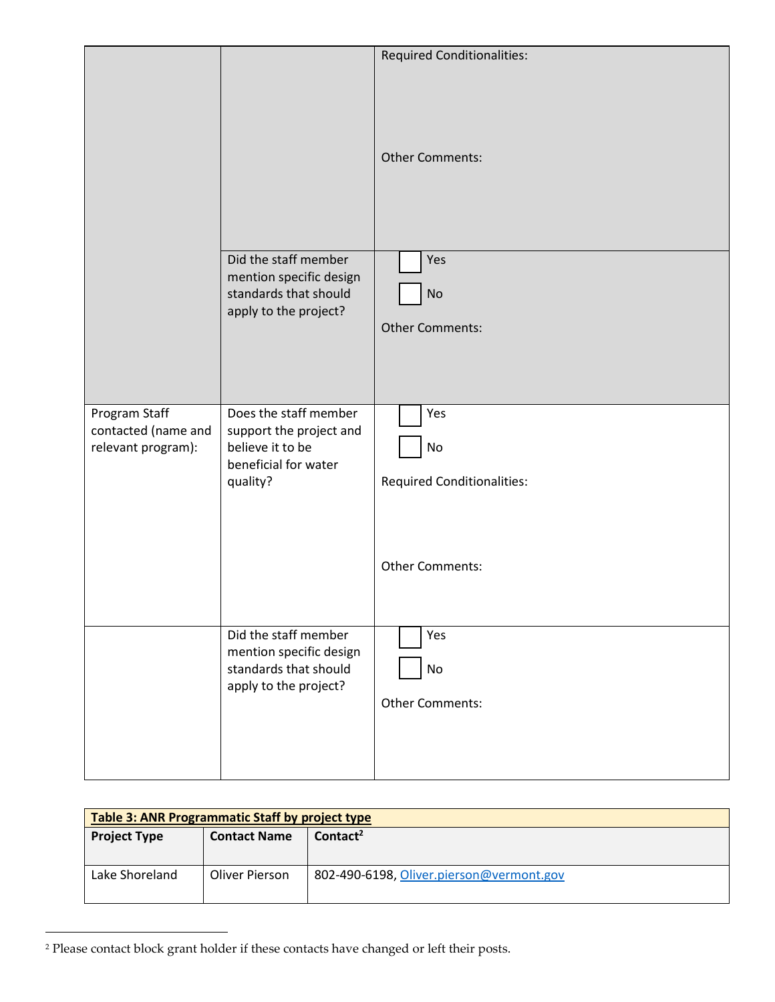|                                                            |                                                                                                          | <b>Required Conditionalities:</b>              |
|------------------------------------------------------------|----------------------------------------------------------------------------------------------------------|------------------------------------------------|
|                                                            |                                                                                                          | <b>Other Comments:</b>                         |
|                                                            | Did the staff member<br>mention specific design<br>standards that should<br>apply to the project?        | Yes<br><b>No</b><br><b>Other Comments:</b>     |
| Program Staff<br>contacted (name and<br>relevant program): | Does the staff member<br>support the project and<br>believe it to be<br>beneficial for water<br>quality? | Yes<br>No<br><b>Required Conditionalities:</b> |
|                                                            |                                                                                                          | Other Comments:                                |
|                                                            | Did the staff member<br>mention specific design<br>standards that should<br>apply to the project?        | Yes<br>No<br><b>Other Comments:</b>            |

| Table 3: ANR Programmatic Staff by project type |                     |                                          |
|-------------------------------------------------|---------------------|------------------------------------------|
| <b>Project Type</b>                             | <b>Contact Name</b> | $\text{Context}^2$                       |
| Lake Shoreland                                  | Oliver Pierson      | 802-490-6198, Oliver.pierson@vermont.gov |

<sup>2</sup> Please contact block grant holder if these contacts have changed or left their posts.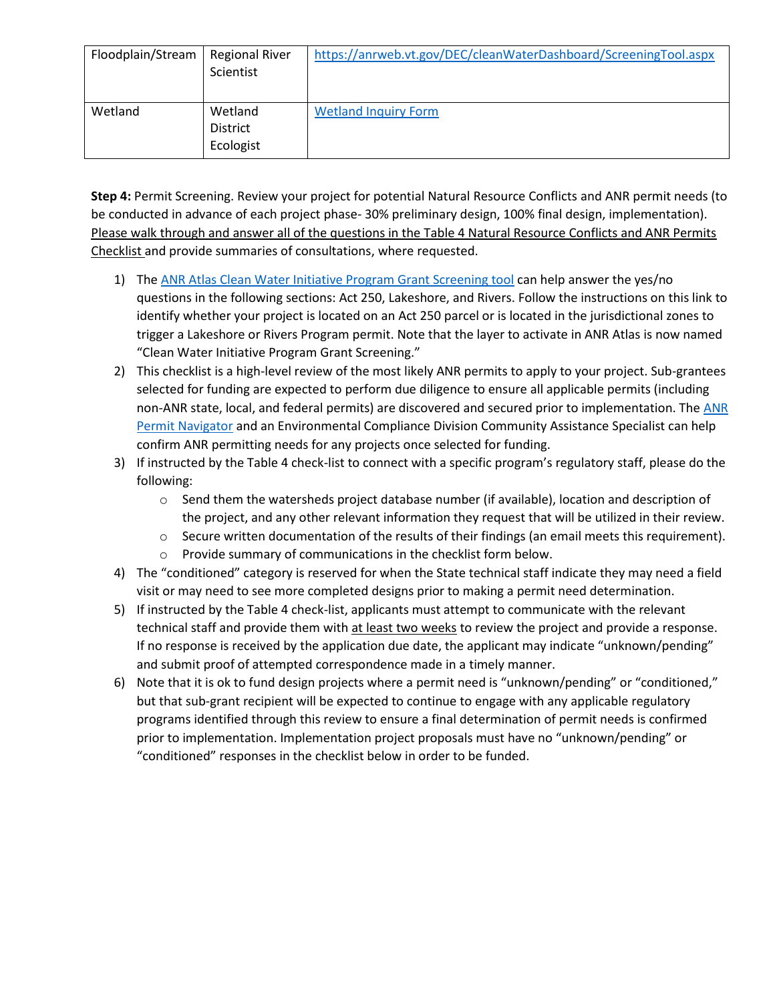| Floodplain/Stream | <b>Regional River</b><br>Scientist      | https://anrweb.vt.gov/DEC/cleanWaterDashboard/ScreeningTool.aspx |
|-------------------|-----------------------------------------|------------------------------------------------------------------|
| Wetland           | Wetland<br><b>District</b><br>Ecologist | <b>Wetland Inquiry Form</b>                                      |

**Step 4:** Permit Screening. Review your project for potential Natural Resource Conflicts and ANR permit needs (to be conducted in advance of each project phase- 30% preliminary design, 100% final design, implementation). Please walk through and answer all of the questions in the Table 4 Natural Resource Conflicts and ANR Permits Checklist and provide summaries of consultations, where requested.

- 1) The [ANR Atlas Clean Water Initiative Program Grant Screening tool](https://dec.vermont.gov/sites/dec/files/wsm/erp/docs/GrantMaterials/NR%20Screening%20tool%20instructions-FY%2021.pdf) can help answer the yes/no questions in the following sections: Act 250, Lakeshore, and Rivers. Follow the instructions on this link to identify whether your project is located on an Act 250 parcel or is located in the jurisdictional zones to trigger a Lakeshore or Rivers Program permit. Note that the layer to activate in ANR Atlas is now named "Clean Water Initiative Program Grant Screening."
- 2) This checklist is a high-level review of the most likely ANR permits to apply to your project. Sub-grantees selected for funding are expected to perform due diligence to ensure all applicable permits (including non-ANR state, local, and federal permits) are discovered and secured prior to implementation. Th[e ANR](https://dec.vermont.gov/permitnavigator)  [Permit Navigator](https://dec.vermont.gov/permitnavigator) and an Environmental Compliance Division Community Assistance Specialist can help confirm ANR permitting needs for any projects once selected for funding.
- 3) If instructed by the Table 4 check-list to connect with a specific program's regulatory staff, please do the following:
	- $\circ$  Send them the watersheds project database number (if available), location and description of the project, and any other relevant information they request that will be utilized in their review.
	- o Secure written documentation of the results of their findings (an email meets this requirement).
	- o Provide summary of communications in the checklist form below.
- 4) The "conditioned" category is reserved for when the State technical staff indicate they may need a field visit or may need to see more completed designs prior to making a permit need determination.
- 5) If instructed by the Table 4 check-list, applicants must attempt to communicate with the relevant technical staff and provide them with at least two weeks to review the project and provide a response. If no response is received by the application due date, the applicant may indicate "unknown/pending" and submit proof of attempted correspondence made in a timely manner.
- 6) Note that it is ok to fund design projects where a permit need is "unknown/pending" or "conditioned," but that sub-grant recipient will be expected to continue to engage with any applicable regulatory programs identified through this review to ensure a final determination of permit needs is confirmed prior to implementation. Implementation project proposals must have no "unknown/pending" or "conditioned" responses in the checklist below in order to be funded.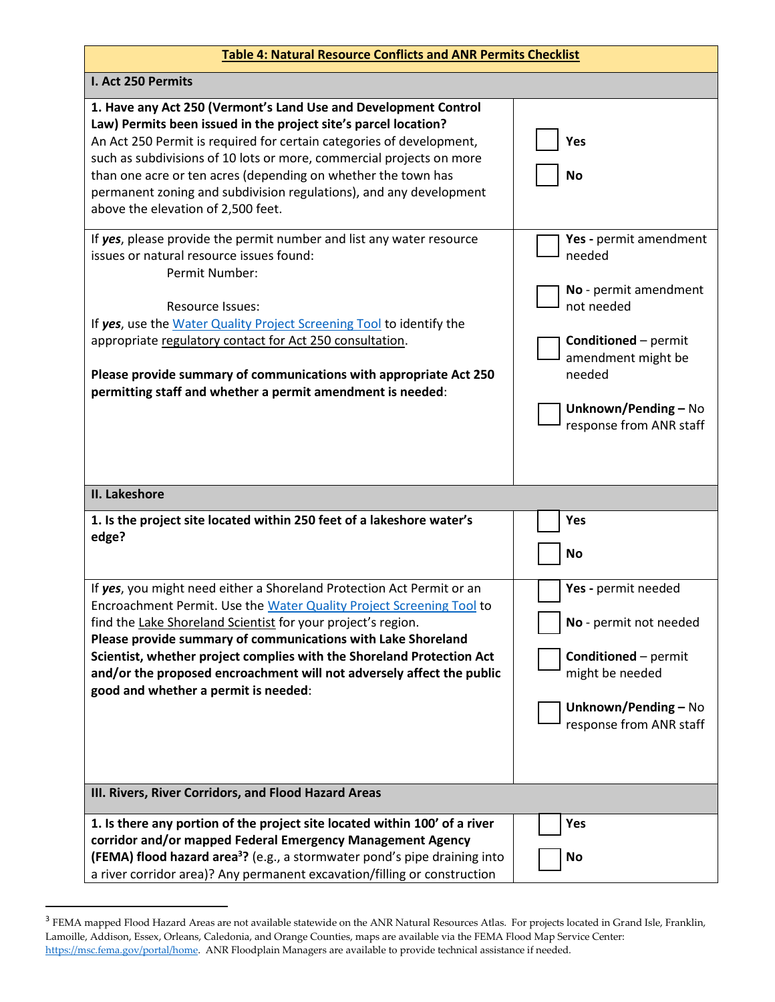| <b>Table 4: Natural Resource Conflicts and ANR Permits Checklist</b>                                                                                                                                                                                                                                                                                                                                                                                                    |                                                                                                                                                                                           |  |
|-------------------------------------------------------------------------------------------------------------------------------------------------------------------------------------------------------------------------------------------------------------------------------------------------------------------------------------------------------------------------------------------------------------------------------------------------------------------------|-------------------------------------------------------------------------------------------------------------------------------------------------------------------------------------------|--|
| I. Act 250 Permits                                                                                                                                                                                                                                                                                                                                                                                                                                                      |                                                                                                                                                                                           |  |
| 1. Have any Act 250 (Vermont's Land Use and Development Control<br>Law) Permits been issued in the project site's parcel location?<br>An Act 250 Permit is required for certain categories of development,<br>such as subdivisions of 10 lots or more, commercial projects on more<br>than one acre or ten acres (depending on whether the town has<br>permanent zoning and subdivision regulations), and any development<br>above the elevation of 2,500 feet.         | Yes<br><b>No</b>                                                                                                                                                                          |  |
| If yes, please provide the permit number and list any water resource<br>issues or natural resource issues found:<br>Permit Number:<br><b>Resource Issues:</b><br>If yes, use the Water Quality Project Screening Tool to identify the<br>appropriate regulatory contact for Act 250 consultation.<br>Please provide summary of communications with appropriate Act 250<br>permitting staff and whether a permit amendment is needed:                                    | Yes - permit amendment<br>needed<br>No - permit amendment<br>not needed<br><b>Conditioned</b> - permit<br>amendment might be<br>needed<br>Unknown/Pending - No<br>response from ANR staff |  |
| II. Lakeshore                                                                                                                                                                                                                                                                                                                                                                                                                                                           |                                                                                                                                                                                           |  |
| 1. Is the project site located within 250 feet of a lakeshore water's<br>edge?                                                                                                                                                                                                                                                                                                                                                                                          | Yes<br>No                                                                                                                                                                                 |  |
| If yes, you might need either a Shoreland Protection Act Permit or an<br>Encroachment Permit. Use the Water Quality Project Screening Tool to<br>find the Lake Shoreland Scientist for your project's region.<br>Please provide summary of communications with Lake Shoreland<br>Scientist, whether project complies with the Shoreland Protection Act<br>and/or the proposed encroachment will not adversely affect the public<br>good and whether a permit is needed: | Yes - permit needed<br>No - permit not needed<br><b>Conditioned</b> - permit<br>might be needed<br>Unknown/Pending - No<br>response from ANR staff                                        |  |
| III. Rivers, River Corridors, and Flood Hazard Areas                                                                                                                                                                                                                                                                                                                                                                                                                    |                                                                                                                                                                                           |  |
| 1. Is there any portion of the project site located within 100' of a river<br>corridor and/or mapped Federal Emergency Management Agency<br>(FEMA) flood hazard area <sup>3</sup> ? (e.g., a stormwater pond's pipe draining into<br>a river corridor area)? Any permanent excavation/filling or construction                                                                                                                                                           | Yes<br>No                                                                                                                                                                                 |  |

<sup>&</sup>lt;sup>3</sup> FEMA mapped Flood Hazard Areas are not available statewide on the ANR Natural Resources Atlas. For projects located in Grand Isle, Franklin, Lamoille, Addison, Essex, Orleans, Caledonia, and Orange Counties, maps are available via the FEMA Flood Map Service Center: [https://msc.fema.gov/portal/home.](https://msc.fema.gov/portal/home) ANR Floodplain Managers are available to provide technical assistance if needed.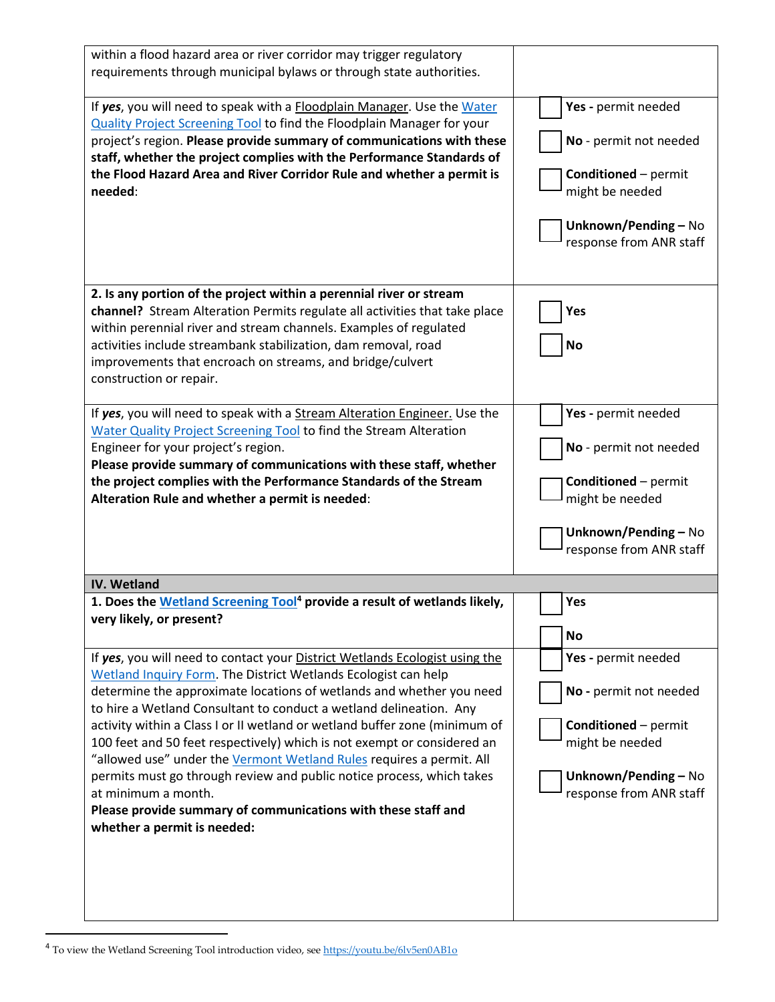| Yes - permit needed<br>No - permit not needed<br><b>Conditioned</b> - permit<br>might be needed<br>Unknown/Pending - No<br>response from ANR staff |
|----------------------------------------------------------------------------------------------------------------------------------------------------|
| Yes<br><b>No</b>                                                                                                                                   |
| Yes - permit needed<br>No - permit not needed<br><b>Conditioned</b> - permit<br>might be needed<br>Unknown/Pending - No<br>response from ANR staff |
|                                                                                                                                                    |
| Yes<br><b>No</b>                                                                                                                                   |
| Yes - permit needed<br>No - permit not needed<br><b>Conditioned</b> - permit<br>might be needed<br>Unknown/Pending - No<br>response from ANR staff |
|                                                                                                                                                    |

 $^4$  To view the Wetland Screening Tool introduction video, see  $\underline{https://youtu.be/6lv5en0AB1o}$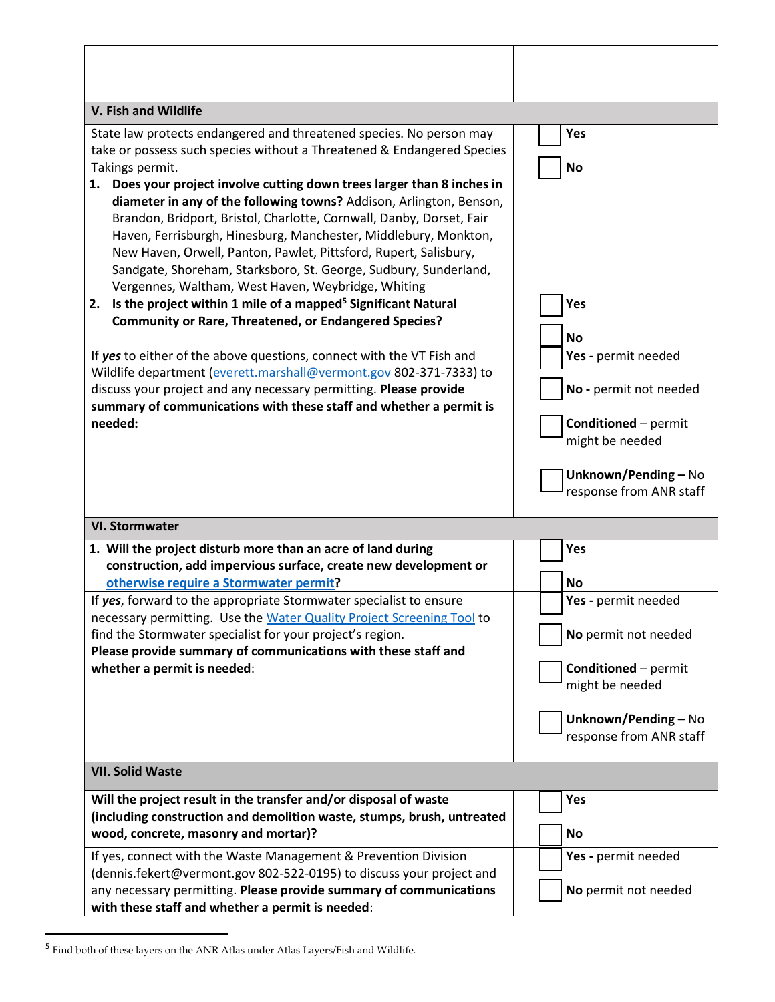| V. Fish and Wildlife                                                                                                                                                                                                                                                                                                                                                                                                                                                                                                                                                                                                                                                                                                                                                                                           |                                                                                                                                                                    |
|----------------------------------------------------------------------------------------------------------------------------------------------------------------------------------------------------------------------------------------------------------------------------------------------------------------------------------------------------------------------------------------------------------------------------------------------------------------------------------------------------------------------------------------------------------------------------------------------------------------------------------------------------------------------------------------------------------------------------------------------------------------------------------------------------------------|--------------------------------------------------------------------------------------------------------------------------------------------------------------------|
| State law protects endangered and threatened species. No person may<br>take or possess such species without a Threatened & Endangered Species<br>Takings permit.<br>1. Does your project involve cutting down trees larger than 8 inches in<br>diameter in any of the following towns? Addison, Arlington, Benson,<br>Brandon, Bridport, Bristol, Charlotte, Cornwall, Danby, Dorset, Fair<br>Haven, Ferrisburgh, Hinesburg, Manchester, Middlebury, Monkton,<br>New Haven, Orwell, Panton, Pawlet, Pittsford, Rupert, Salisbury,<br>Sandgate, Shoreham, Starksboro, St. George, Sudbury, Sunderland,<br>Vergennes, Waltham, West Haven, Weybridge, Whiting<br>Is the project within 1 mile of a mapped <sup>5</sup> Significant Natural<br>2.<br><b>Community or Rare, Threatened, or Endangered Species?</b> | Yes<br><b>No</b><br>Yes                                                                                                                                            |
| If yes to either of the above questions, connect with the VT Fish and<br>Wildlife department (everett.marshall@vermont.gov 802-371-7333) to<br>discuss your project and any necessary permitting. Please provide<br>summary of communications with these staff and whether a permit is<br>needed:                                                                                                                                                                                                                                                                                                                                                                                                                                                                                                              | <b>No</b><br>Yes - permit needed<br>No - permit not needed<br><b>Conditioned</b> - permit<br>might be needed<br>Unknown/Pending - No<br>response from ANR staff    |
| <b>VI. Stormwater</b>                                                                                                                                                                                                                                                                                                                                                                                                                                                                                                                                                                                                                                                                                                                                                                                          |                                                                                                                                                                    |
| 1. Will the project disturb more than an acre of land during<br>construction, add impervious surface, create new development or<br>otherwise require a Stormwater permit?<br>If yes, forward to the appropriate Stormwater specialist to ensure<br>necessary permitting. Use the Water Quality Project Screening Tool to<br>find the Stormwater specialist for your project's region.<br>Please provide summary of communications with these staff and<br>whether a permit is needed:                                                                                                                                                                                                                                                                                                                          | Yes<br><b>No</b><br>Yes - permit needed<br>No permit not needed<br><b>Conditioned</b> - permit<br>might be needed<br>Unknown/Pending-No<br>response from ANR staff |
| <b>VII. Solid Waste</b>                                                                                                                                                                                                                                                                                                                                                                                                                                                                                                                                                                                                                                                                                                                                                                                        |                                                                                                                                                                    |
| Will the project result in the transfer and/or disposal of waste<br>(including construction and demolition waste, stumps, brush, untreated<br>wood, concrete, masonry and mortar)?<br>If yes, connect with the Waste Management & Prevention Division<br>(dennis.fekert@vermont.gov 802-522-0195) to discuss your project and                                                                                                                                                                                                                                                                                                                                                                                                                                                                                  | Yes<br>No<br>Yes - permit needed                                                                                                                                   |
| any necessary permitting. Please provide summary of communications<br>with these staff and whether a permit is needed:                                                                                                                                                                                                                                                                                                                                                                                                                                                                                                                                                                                                                                                                                         | No permit not needed                                                                                                                                               |

Τ

٦

 $\overline{1}$ 

<sup>&</sup>lt;sup>5</sup> Find both of these layers on the ANR Atlas under Atlas Layers/Fish and Wildlife.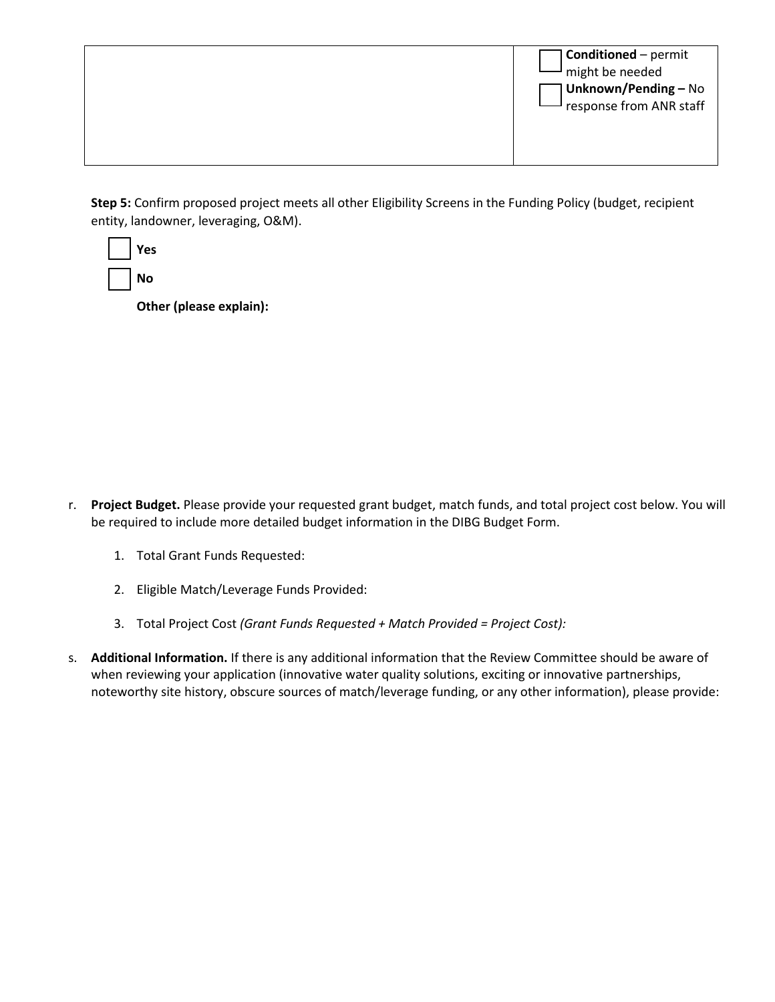|  | <b>Conditioned</b> – permit<br>$\overline{\phantom{a}}$ might be needed<br>Unknown/Pending - No<br>response from ANR staff |
|--|----------------------------------------------------------------------------------------------------------------------------|
|--|----------------------------------------------------------------------------------------------------------------------------|

**Step 5:** Confirm proposed project meets all other Eligibility Screens in the Funding Policy (budget, recipient entity, landowner, leveraging, O&M).

| Yes |
|-----|
| Nο  |

**Other (please explain):** 

- r. **Project Budget.** Please provide your requested grant budget, match funds, and total project cost below. You will be required to include more detailed budget information in the DIBG Budget Form.
	- 1. Total Grant Funds Requested:
	- 2. Eligible Match/Leverage Funds Provided:
	- 3. Total Project Cost *(Grant Funds Requested + Match Provided = Project Cost):*
- s. **Additional Information.** If there is any additional information that the Review Committee should be aware of when reviewing your application (innovative water quality solutions, exciting or innovative partnerships, noteworthy site history, obscure sources of match/leverage funding, or any other information), please provide: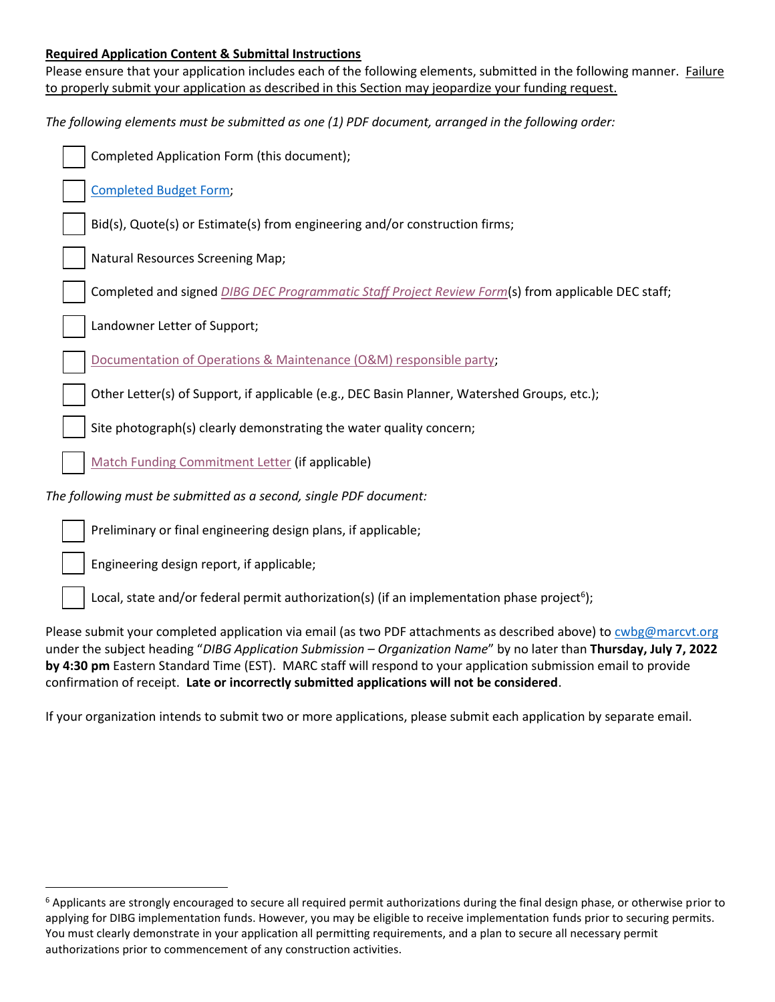#### **Required Application Content & Submittal Instructions**

Please ensure that your application includes each of the following elements, submitted in the following manner. Failure to properly submit your application as described in this Section may jeopardize your funding request.

| The following elements must be submitted as one (1) PDF document, arranged in the following order:         |
|------------------------------------------------------------------------------------------------------------|
| Completed Application Form (this document);                                                                |
| <b>Completed Budget Form;</b>                                                                              |
| Bid(s), Quote(s) or Estimate(s) from engineering and/or construction firms;                                |
| Natural Resources Screening Map;                                                                           |
| Completed and signed <b>DIBG DEC Programmatic Staff Project Review Form</b> (s) from applicable DEC staff; |
| Landowner Letter of Support;                                                                               |
| Documentation of Operations & Maintenance (O&M) responsible party;                                         |
| Other Letter(s) of Support, if applicable (e.g., DEC Basin Planner, Watershed Groups, etc.);               |
| Site photograph(s) clearly demonstrating the water quality concern;                                        |
| Match Funding Commitment Letter (if applicable)                                                            |
| The following must be submitted as a second, single PDF document:                                          |
| Preliminary or final engineering design plans, if applicable;                                              |

Engineering design report, if applicable;

Local, state and/or federal permit authorization(s) (if an implementation phase project<sup>6</sup>);

Please submit your completed application via email (as two PDF attachments as described above) t[o cwbg@marcvt.org](mailto:cwbg@marcvt.org) under the subject heading "*DIBG Application Submission – Organization Name*" by no later than **Thursday, July 7, 2022 by 4:30 pm** Eastern Standard Time (EST). MARC staff will respond to your application submission email to provide confirmation of receipt. **Late or incorrectly submitted applications will not be considered**.

If your organization intends to submit two or more applications, please submit each application by separate email.

 $6$  Applicants are strongly encouraged to secure all required permit authorizations during the final design phase, or otherwise prior to applying for DIBG implementation funds. However, you may be eligible to receive implementation funds prior to securing permits. You must clearly demonstrate in your application all permitting requirements, and a plan to secure all necessary permit authorizations prior to commencement of any construction activities.